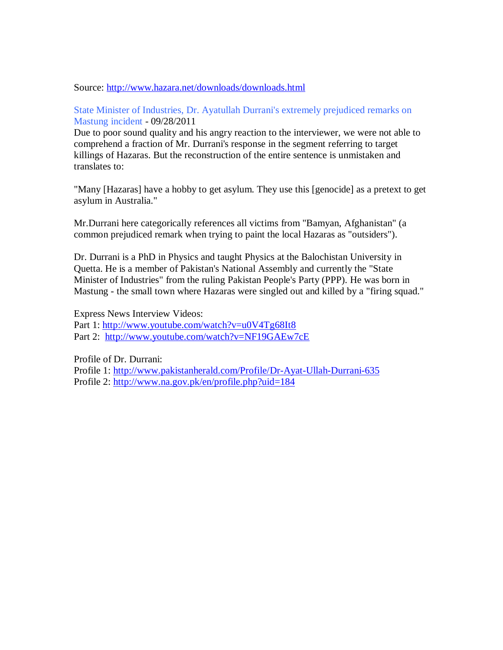## Source: http://www.hazara.net/downloads/downloads.html

## State Minister of Industries, Dr. Ayatullah Durrani's extremely prejudiced remarks on Mastung incident - 09/28/2011

Due to poor sound quality and his angry reaction to the interviewer, we were not able to comprehend a fraction of Mr. Durrani's response in the segment referring to target killings of Hazaras. But the reconstruction of the entire sentence is unmistaken and translates to:

"Many [Hazaras] have a hobby to get asylum. They use this [genocide] as a pretext to get asylum in Australia."

Mr.Durrani here categorically references all victims from "Bamyan, Afghanistan" (a common prejudiced remark when trying to paint the local Hazaras as "outsiders").

Dr. Durrani is a PhD in Physics and taught Physics at the Balochistan University in Quetta. He is a member of Pakistan's National Assembly and currently the "State Minister of Industries" from the ruling Pakistan People's Party (PPP). He was born in Mastung - the small town where Hazaras were singled out and killed by a "firing squad."

Express News Interview Videos: Part 1: http://www.youtube.com/watch?v=u0V4Tg68It8 Part 2: http://www.youtube.com/watch?v=NF19GAEw7cE

Profile of Dr. Durrani:

Profile 1: http://www.pakistanherald.com/Profile/Dr-Ayat-Ullah-Durrani-635 Profile 2: http://www.na.gov.pk/en/profile.php?uid=184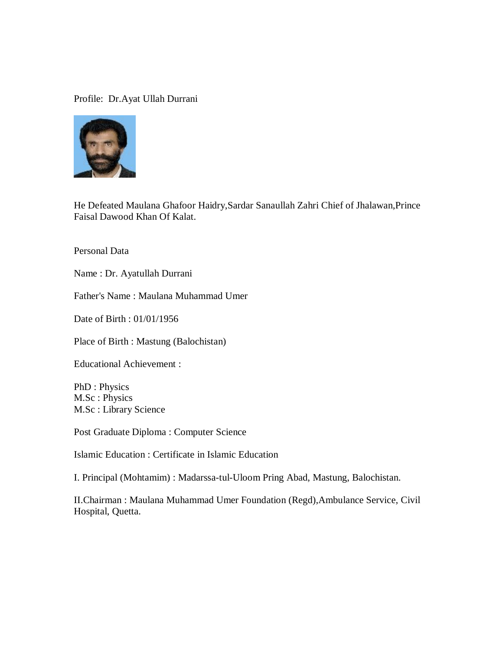## Profile: Dr.Ayat Ullah Durrani



He Defeated Maulana Ghafoor Haidry,Sardar Sanaullah Zahri Chief of Jhalawan,Prince Faisal Dawood Khan Of Kalat.

Personal Data

Name : Dr. Ayatullah Durrani

Father's Name : Maulana Muhammad Umer

Date of Birth : 01/01/1956

Place of Birth : Mastung (Balochistan)

Educational Achievement :

PhD : Physics M.Sc : Physics M.Sc : Library Science

Post Graduate Diploma : Computer Science

Islamic Education : Certificate in Islamic Education

I. Principal (Mohtamim) : Madarssa-tul-Uloom Pring Abad, Mastung, Balochistan.

II.Chairman : Maulana Muhammad Umer Foundation (Regd),Ambulance Service, Civil Hospital, Quetta.